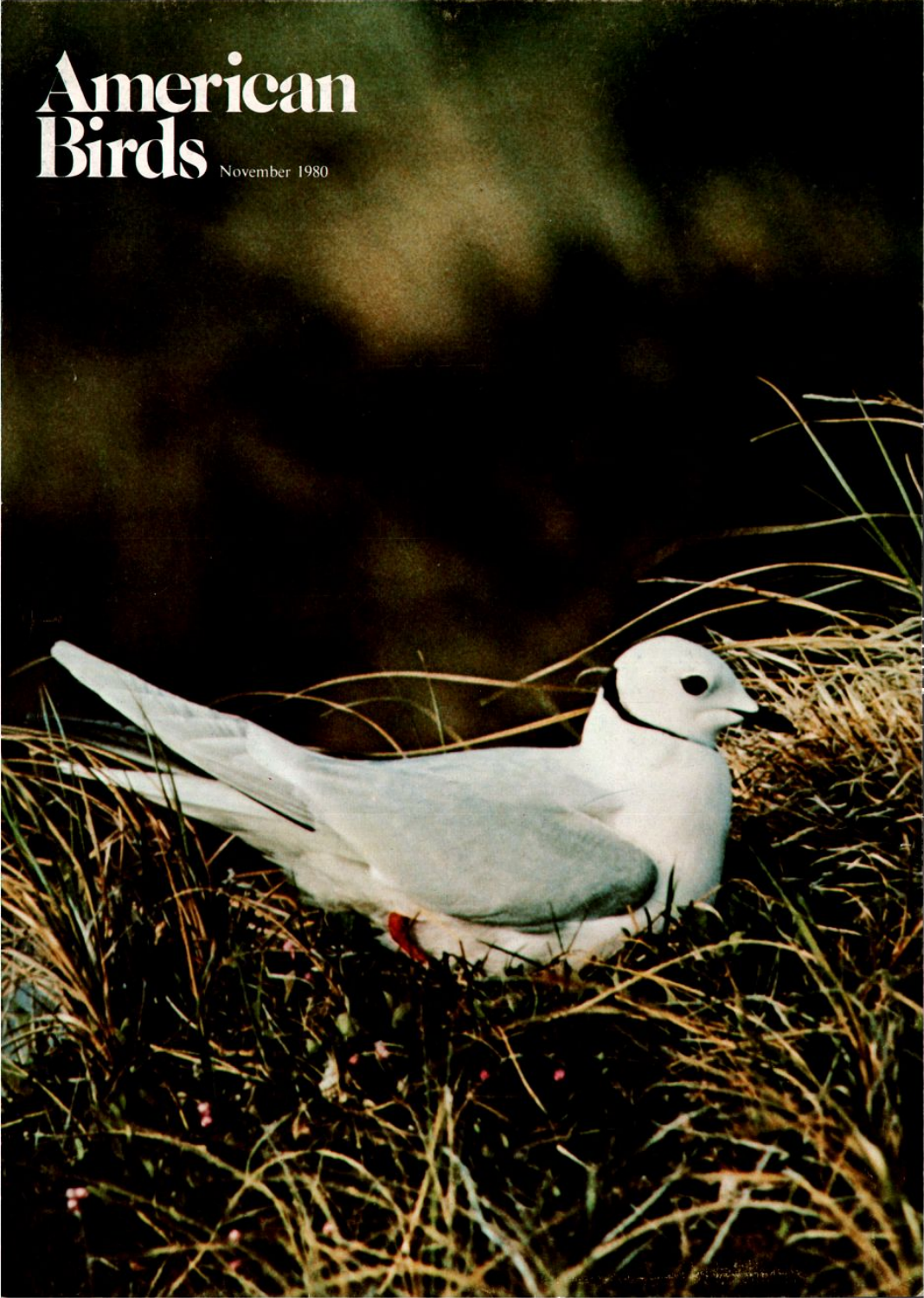# **Americar Birds**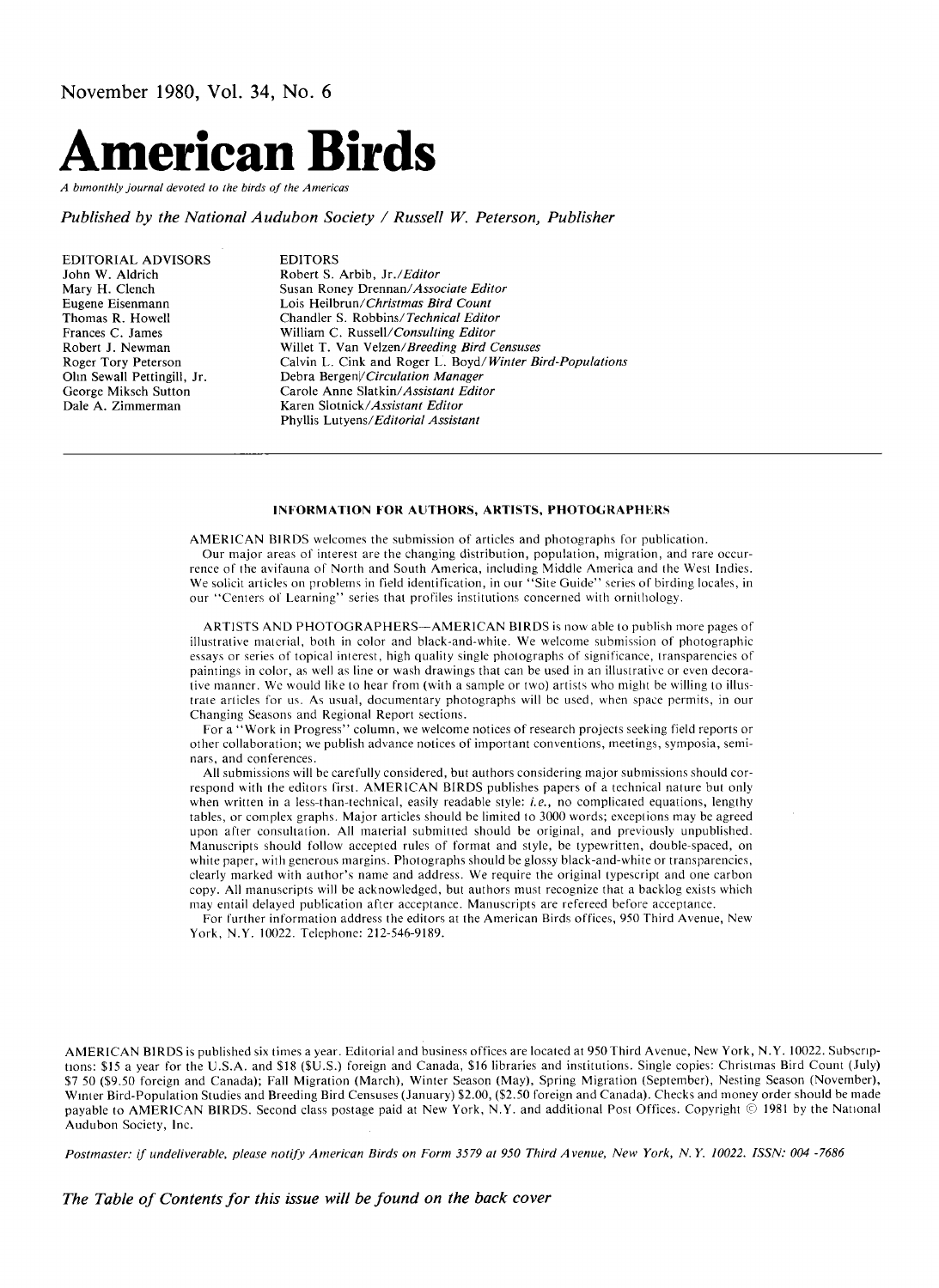

**A bimonthly journal devoted to the birds of the Americas** 

**Published by the National Audubon Society / Russell W. Peterson, Publisher** 

**EDITORIAL ADVISORS John W. Aldrich Mary H. Clench Eugene Eisenmann Thomas R. Howell Frances C. James Robert J. Newman Roger Tory Peterson Ohn Sewall Pettingill, Jr. George Miksch Sutton Dale A. Zimmerman** 

**EDITORS Robert S. Arbib, Jr./Editor Susan Roney Drennan/Associate Editor Lois Heilbrun/ Christrnas Bird Count Chandler S. Robbins/Technical Editor William C. Russell/Consulting Editor Willet T. Van Velzen/Breeding Bird Censuses Calvin L. Cink and Roger L. Boyd/Winter Bird-Populations Debra Bergenl/Circulation Manager Carole Anne Slatkin/Assistant Editor Karen Slotnick/Assistant Editor Phyllis Lutyens/Editorial Assistant** 

#### **INFORMATION FOR AUTHORS, ARTISTS, PHOTOGRAPHERS**

**AMERICAN BIRDS welcomes the submission of articles and photographs for publication.** 

**Our major areas of interest are the changing distribution, population, migration, and rare occurrence of the avifauna of North and South America, including Middle America and the West Indies. We solicit articles on problems in field identification, in our "Site Guide" series of birding locales, in our "Centers of Learning" series that profiles institutions concerued with ornithology.** 

**ARTISTS AND PHOTOGRAPHERS--AMERICAN BIRDS is now able to publish more pages of illustrative material, both in color and black-and-white. We welcome submission of photographic essays or series of topical interest, high quality single photographs of significance, transparencies of paintings in color, as well as line or wash drawings that can be used in an illustrative or even decorative manner. We would like to hear from (with a sample or two) artists who might be willing to illustrate articles for us. As usual, documentary photographs will bc used, when space permits, in our Changing Seasons and Regional Report sections.** 

**For a "Work in Progress" column, we welcome notices of research projects seeking field reports or other collaboration; we publish advance notices of important conventions, meetings, symposia, seminars, and conferences.** 

All submissions will be carefully considered, but authors considering major submissions should cor**respond with the editors first. AMERICAN BIRDS publishes papers of a technical nature but only when written in a less-than-technical, easily readable style: i.e., no complicated equations, lengthy tables, or complex graphs. Major articles should be limited to 3000 words; exceptions may be agreed upon after consultation. All material submitted should be original, and previously unpublished. Manuscripts should follow accepted rules of format and style, be typewritten, double-spaced, on white paper, with generous margins. Photographs should be glossy black-and-white or transparencies, clearly marked with author's name and address. We require the original typescript and one carbon copy. All manuscripts will be acknowledged, but authors must recognize that a backlog exists which may entail delayed publication after acceptance. Manuscripts are refereed before acceptance.** 

**For further information address the editors at the American Birds offices, 950 Third Avenue, New York, N.Y. 10022. Telephone: 212-546-9189.** 

**AMERICAN BIRDS is published six times a year. Editorial and business offices are located at 950 Third Avenue, New York, N.Y. 10022. Subscripnons: \$15 a year for the U.S.A. and \$18 (\$U.S.) foreign and Canada, \$16 libraries and institutions. Single copies: Christmas Bird Count (July) \$7 50 (\$9.50 foreign and Canada); Fall Migration (March), Winter Season (May), Spring Migration (September), Nesting Season (November),**  Winter Bird-Population Studies and Breeding Bird Censuses (January) \$2.00, (\$2.50 foreign and Canada). Checks and money order should be made payable to AMERICAN BIRDS. Second class postage paid at New York, N.Y. and additional Post Offices. Copyright © 1981 by the National **Audubon Society, Inc.** 

**Postmaster: if undeliverable, please notify American Birds on Form 3579 at 950 Third Avenue, New York, N.Y. 10022. ISSN: 004 -7686** 

**The Table of Contents for this issue will be found on the back cover**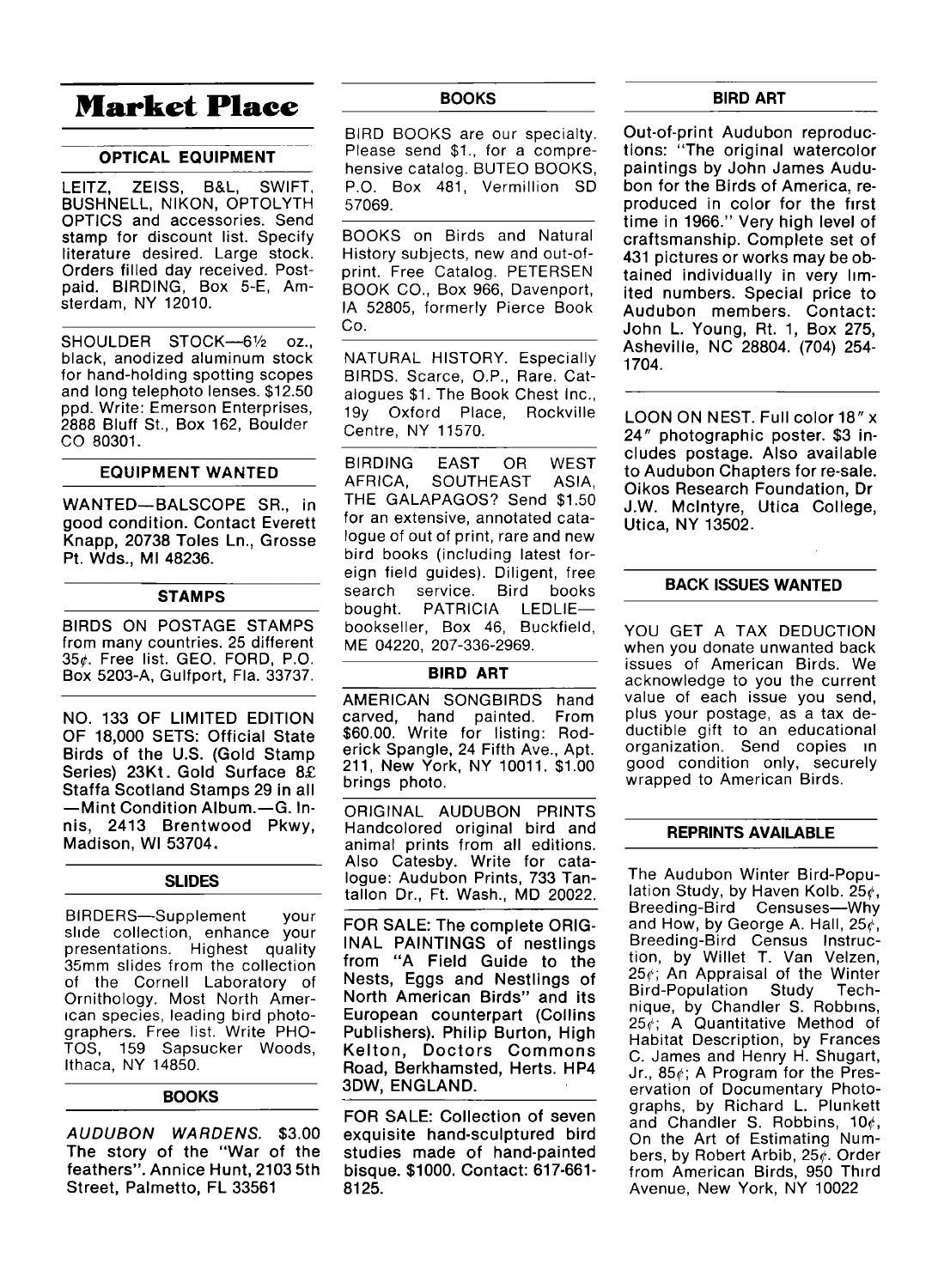# **Market Place**

#### **OPTICAL EQUIPMENT**

**LEITZ, ZEISS, B&L, SWIFT, BUSHNELL, NIKON, OPTOLYTH OPTICS and accessories. Send stamp for discount list. Specify literature desired. Large stock. Orders filled day received. Postpaid. BIRDING, Box 5-E, Amsterdam, NY 12010.** 

SHOULDER STOCK-6<sup>1/2</sup> oz., **black, anodized aluminum stock for hand-holding spotting scopes and long telephoto lenses. \$12.50 ppd. Write: Emerson Enterprises, 2888 Bluff St., Box 162, Boulder CO 8O3O1.** 

#### **EQUIPMENT WANTED**

**WANTED--BALSCOPE SR., in good condition. Contact Everett Knapp, 20738 Toles Ln., Grosse Pt. Wds., MI 48236.** 

#### **STAMPS**

**BIRDS ON POSTAGE STAMPS from many countries. 25 different 35½. Free list. GEO. FORD, P.O. Box 5203-A, Gulfport, Fla. 33737.** 

**NO. 133 OF LIMITED EDITION OF 18,000 SETS: Official State Birds of the U.S. (Gold Stamp**  Series) 23Kt Gold Surface 8£ **Staffa Scotland Stamps 29 in all -Mint Condition Album.—G. Innis, 2413 Brentwood Pkwy, Madison, WI 53704,** 

#### **SLIDES**

**BIRDERS--Supplement your shde collection, enhance your presentations. Highest quality 35mm slides from the collection of the Cornell Laboratory of Ornithology. Most North Amerman species, leading bird photographers. Free list. Write PHO-TOS, 159 Sapsucker Woods, Ithaca, NY 14850.** 

#### **BOOKS**

**AUDUBON WARDENS. \$3.00 The story of the "War of the feathers". Annice Hunt, 2103 5th Street, Palmetto, FL 33561** 

#### **BOOKS**

**BIRD BOOKS are our specialty. Please send \$1., for a comprehensive catalog. BUTEO BOOKS, P.O. Box 481, Vermillion SD 57069.** 

**BOOKS on Birds and Natural History subjects, new and out-ofprint. Free Catalog. PETERSEN BOOK CO., Box 966, Davenport, IA 52805, formerly Pierce Book Co.** 

**NATURAL HISTORY. Especially BIRDS. Scarce, O.P., Rare. Catalogues \$1. The Book Chest Inc., 19y Oxford Place, Rockville Centre, NY 11570.** 

**BIRDING EAST OR WEST AFRICA, SOUTHEAST ASIA, THE GALAPAGOS? Send \$1.50 for an extensive, annotated catalogue of out of print, rare and new bird books (including latest foreign field guides). Diligent, free**  service. bought. PATRICIA LEDLIE**bookseller, Box 46, Buckfield, ME 04220, 207-336-2969.** 

# **BIRD ART**

**AMERICAN SONGBIRDS hand carved, hand painted. From \$60.00. Write for listing: Roderick Spangle, 24 Fifth Ave., Apt. 211, New York, NY 10011. \$1.00 brings photo.** 

**ORIGINAL AUDUBON PRINTS Handcolored original bird and animal prints from all editions. Also Catesby. Write for catalogue: Audubon Prints, 733 Tantallon Dr., Ft. Wash., MD 20022.** 

**FOR SALE: The complete ORIG-INAL PAINTINGS of nestlings from "A Field Guide to the Nests, Eggs and Nestlings of North American Birds" and its European counterpart (Collins Publishers). Philip Burton, High Kelton, Doctors Commons Road, Berkhamsted, Herts. HP4 3DW, ENGLAND.** 

**FOR SALE: Collection of seven exquisite hand-sculptured bird studies made of hand-painted bisque. \$1000. Contact: 617-661- 8125.** 

### **BIRD ART**

**Out-of-print Audubon reproductions: "The original watercolor paintings by John James Audubon for the Birds of America, reproduced in color for the first time in 1966." Very high level of craftsmanship. Complete set of 431 pictures or works may be ob**tained individually in very lim**ited numbers. Special price to Audubon members. Contact: John L. Young, Rt. 1, Box 275, Asheville, NC 28804. (704) 254- 1704.** 

**LOON ON NEST. Full color 18" x 24" photographic poster. \$3 includes postage. Also available to Audubon Chapters for re-sale. Oikos Research Foundation, Dr J.W. Mcintyre, Utica College, Utica, NY 13502.** 

# **BACK ISSUES WANTED**

**YOU GET A TAX DEDUCTION when you donate unwanted back issues of American Birds. We acknowledge to you the current value of each issue you send, plus your postage, as a tax deductible gift to an educational organization. Send copies •n good condition only, securely wrapped to American Birds.** 

# **REPRINTS AVAILABLE**

**The Audubon Winter Bird-Population Study, by Haven Kolb. 25½, Breeding-Bird Censuses--Why and How, by George A. Hall, 25½, Breeding-Bird Census Instruction, by Willet T. Van Velzen, 25½; An Appraisal of the Winter Bird-Population Study nique, by Chandler S. Robbins, 25½; A Quantitative Method of Habitat Description, by Frances C. James and Henry H. Shugart, Jr., 85½.; A Program for the Preservation of Documentary Photographs, by Richard L. Plunkett and Chandler S. Robbins, 10½, On the Art of Estimating Numbers, by Robert Arbib, 25½. Order from American Birds, 950 Third Avenue, New York, NY 10022**